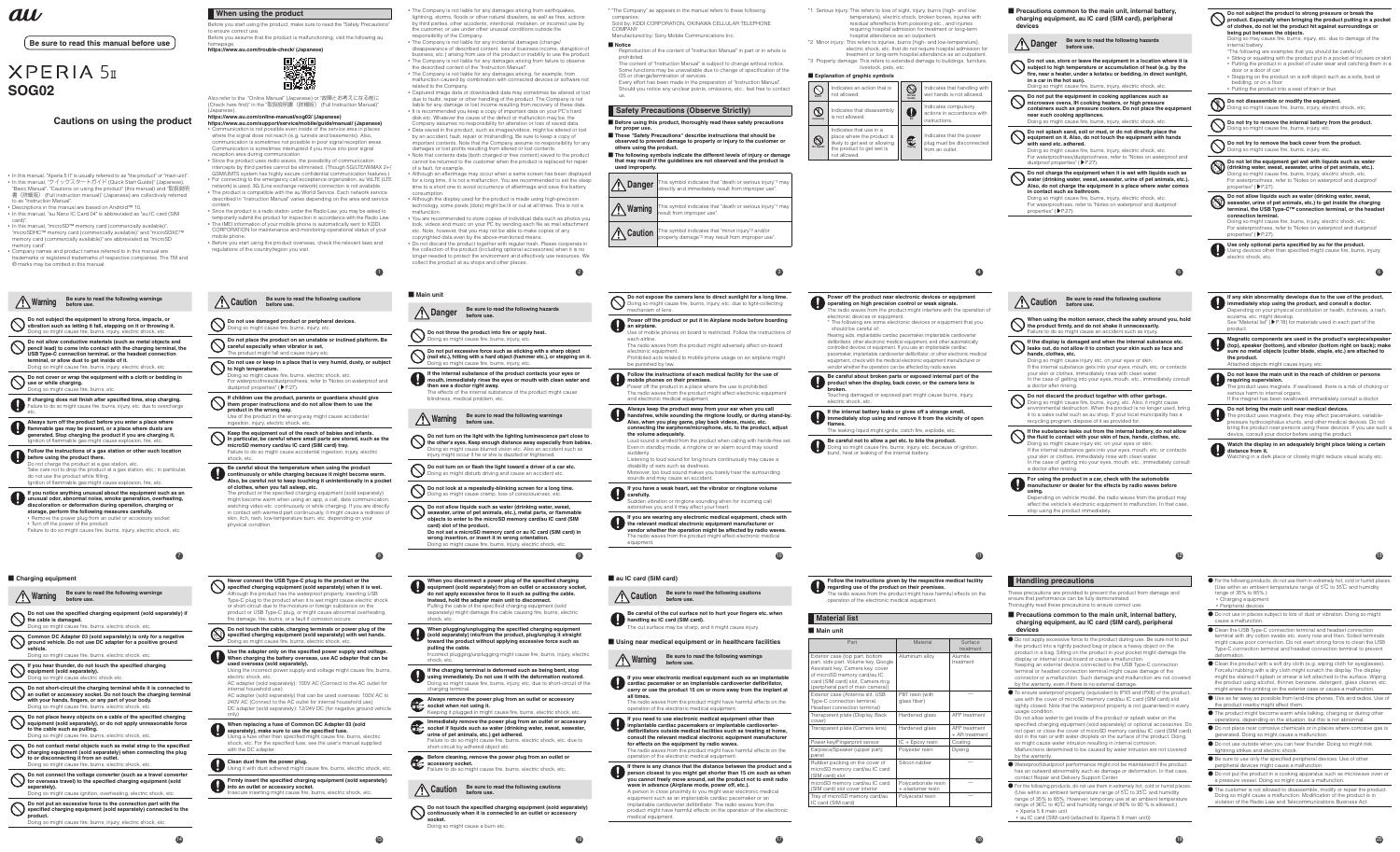# **XPERIA 5I SOG02**

### **Cautions on using the product**

• In this manual, "Xperia 5 II" is usually referred to as "the product" or "main unit". • In this manual, "クイックスタートガイド (Quick Start Guide)" (Japanese), "Basic Manual", "Cautions on using the product" (this manual) and "取扱説明 書 (詳細版) (Full instruction manual) (Japanese) are colled

au

### **Be sure to read this manual before use**

card)".<br>• In this manual, "microSD™ memory card (commercially available)",<br>"microSDHC™ memory card (commercially available)" and "microSDXC™<br>memory card (commercially available)" are abbreviated as "microSD memory card".

to as "Instruction Manual". • Descriptions in this manual are based on Android™ 10. • In this manual, "au Nano IC Card 04" is abbreviated as "au IC card (SIM

• Company names and product names referred to in this manual are trademarks or registered trademarks of respective companies. The TM and ® marks may be omitted in this manual.

**Do not short-circuit the charging terminal while it is connected to an outlet or accessory socket. Do not touch the charging terminal**  with your h<mark>a</mark>nd Doing so might

Doing so might **Do not contact metal objects such as metal strap to the specified charging equipment (sold separately) when connecting the plug**  to or disconne Doing so might cause fire, burns, electric shock, etc.

• Since the product uses radio waves, the possibility of communication intercepts by third parties cannot be eliminated. (Though 5G/LTE/WiMAX 2+/ GSM/UMTS system has highly secure confidential communication features.) • For connecting to the emergency call acceptance organization, au VoLTE (LTE network) is used. 3G (Line exchange network) connection is not available. • The product is compatible with the au World Service. Each network service described in "Instruction Manual" varies depending on the area and service content. • Since the product is a radio station under the Radio Law, you may be asked to temporarily submit the product for inspection in accordance with the Radio Law.<br>• The IMEI information of your mobile phone is automatically sent to KDDI<br>• CORPORATION for maintenance and monitoring operational status of y

**14**

**Common DC Adapter 03 (sold separately) is only for a negative ground vehicle. Do not use DC adapter for a positive ground vehicle.**

Doing so might

**Do not place heavy objects on a cable of the specified charging equipment (sold separately), or do not apply unreasonable force to the cable such as pulling.**

**Do not connect the voltage converter (such as a travel converter for overseas travel) to the specified charging equipment (sold separately).**

**Do not put an excessive force to the connection part with the specified charging equipment (sold separately) connected to the product.**

Doing so might cause fire, burns, injury, electric shock, etc.

**When using the product**

homepage. **https://www.au.com/trouble-check/ (Japanese)**

Also refer to the "Online Manual" (Japanese) or "故障とお考えになる前に (Check here first)" in the "取扱説明書 (詳細版) (Full Instruction Manual) (Japanese). (**https://www.au.com/online-manual/sog02/**) **(Japanese)**

(**https://www.au.com/support/service/mobile/guide/manual/**) **(Japanese)** • Communication is not possible even inside of the service area in places where the signal does not reach (e.g. tunnels and basements). Also, communication is sometimes not possible in poor signal reception areas. Communication is sometimes interrupted if you move into poor signal

reception area during communication.

to ensure correct use

mobile phone.

• Before you start using the product overseas, check the relevant laws and

ou start doing the processes you visit.

Before you start using the product, make sure to read the "Safety Precautions" Before you assume that the product is malfunctioning, visit the following au lightning, storms, floods or other natural disasters, as well as fires, actions by third parties, other accidents, intentional, mistaken, or incorrect use by the customer, or use under other unusual conditions outside the

**15**

■ **Notice** duction of the content of "Instruction Manual" in part or in whole is prohibited. promission.<br>The content of "Instruction Manual" is subject to change without notice.

Some functions may be unavailable due to change of specification of the OS or change/termination of services. ・ Every effort has been made in the preparation of "Instruction Manual". Should you notice any unclear points, omissions, etc., feel free to contact

## **Safety Precautions (Observe Strictly)**

| Be sure to read the following warnings<br>. Warning<br>before use.                                                                                                                                                                     | Be sure to read the following cautions<br>Caution<br>before use.                                                                                                                                                                                                                                                                                                                                               | Main unit                                                                                                                                                                                                                                                                                                                                                                                                            |
|----------------------------------------------------------------------------------------------------------------------------------------------------------------------------------------------------------------------------------------|----------------------------------------------------------------------------------------------------------------------------------------------------------------------------------------------------------------------------------------------------------------------------------------------------------------------------------------------------------------------------------------------------------------|----------------------------------------------------------------------------------------------------------------------------------------------------------------------------------------------------------------------------------------------------------------------------------------------------------------------------------------------------------------------------------------------------------------------|
| Do not subject the equipment to strong force, impacts, or<br>vibration such as letting it fall, stepping on it or throwing it.                                                                                                         | Do not use damaged product or peripheral devices.<br>Doing so might cause fire, burns, injury, etc.                                                                                                                                                                                                                                                                                                            | Be sure to read the following hazards<br><b>Danger</b><br>before use.                                                                                                                                                                                                                                                                                                                                                |
| Doing so might cause fire, burns, injury, electric shock, etc.<br>Do not allow conductive materials (such as metal objects and<br>pencil lead) to come into contact with the charging terminal, the                                    | Do not place the product on an unstable or inclined platform. Be<br>careful especially when vibrator is set.                                                                                                                                                                                                                                                                                                   | Do not throw the product into fire or apply heat.<br>Doing so might cause fire, burns, injury, etc.                                                                                                                                                                                                                                                                                                                  |
| USB Type-C connection terminal, or the headset connection<br>terminal, or allow dust to get inside of it.<br>Doing so might cause fire, burns, injury, electric shock, etc.                                                            | The product might fall and cause injury etc.<br>Do not use or keep in a place that is very humid, dusty, or subject<br>to high temperature.                                                                                                                                                                                                                                                                    | Do not put excessive force such as sticking with a sharp object<br>(nail etc.), hitting with a hard object (hammer etc.), or stepping on it.<br>Doing so might cause fire, burns, injury, etc.                                                                                                                                                                                                                       |
| Do not cover or wrap the equipment with a cloth or bedding in<br>use or while charging.<br>Doing so might cause fire, burns, etc.                                                                                                      | Doing so might cause fire, burns, electric shock, etc.<br>For waterproofness/dustproofness, refer to "Notes on waterproof and<br>dustproof properties" (▶P.27).                                                                                                                                                                                                                                                | If the internal substance of the product contacts your eyes or<br>mouth, immediately rinse the eyes or mouth with clean water and<br>then see a doctor right away.<br>The effects of the internal substance of the product might cause                                                                                                                                                                               |
| If charging does not finish after specified time, stop charging.<br>Failure to do so might cause fire, burns, injury, etc. due to overcharge                                                                                           | If children use the product, parents or guardians should give<br>them proper instructions and do not allow them to use the<br>product in the wrong way.<br>Use of the product in the wrong way might cause accidental                                                                                                                                                                                          | blindness, medical problem, etc.<br>Be sure to read the following warnings                                                                                                                                                                                                                                                                                                                                           |
| Always turn off the product before you enter a place where<br>flammable gas may be present, or a place where dusts are<br>generated. Stop charging the product if you are charging it.                                                 | ingestion, injury, electric shock, etc.<br>Keep the equipment out of the reach of babies and infants.<br>In particular, be careful where small parts are stored, such as the                                                                                                                                                                                                                                   | Warning<br>before use.<br>Do not turn on the light with the lighting luminescence part close to                                                                                                                                                                                                                                                                                                                      |
| Ignition of flammable gas might cause explosion, fire, etc.<br>Follow the instructions of a gas station or other such location<br>before using the product there.                                                                      | microSD memory card/au IC card (SIM card) tray.<br>Failure to do so might cause accidental ingestion, injury, electric<br>shock, etc.                                                                                                                                                                                                                                                                          | the other's eyes. Keep enough distance away especially from babies.<br>Doing so might cause blurred vision etc. Also an accident such as<br>injury might occur if he or she is dazzled or frightened.                                                                                                                                                                                                                |
| Do not charge the product at a gas station, etc.<br>Take care not to drop the product at a gas station, etc.; in particular,<br>do not use the product while filling.<br>Ignition of flammable gas might cause explosion, fire, etc.   | Be careful about the temperature when using the product<br>continuously or while charging because it might become warm.<br>Also, be careful not to keep touching it unintentionally in a pocket                                                                                                                                                                                                                | Do not turn on or flash the light toward a driver of a car etc.<br>Doing so might disturb driving and cause an accident etc.                                                                                                                                                                                                                                                                                         |
| If you notice anything unusual about the equipment such as an<br>unusual odor, abnormal noise, smoke generation, overheating,<br>discoloration or deformation during operation, charging or                                            | of clothes, when you fall asleep, etc.<br>The product or the specified charging equipment (sold separately)<br>might become warm when using an app, a call, data communication,                                                                                                                                                                                                                                | Do not look at a repeatedly-blinking screen for a long time.<br>Doing so might cause cramp, loss of consciousness, etc.                                                                                                                                                                                                                                                                                              |
| storage, perform the following measures carefully.<br>. Remove the power plug from an outlet or accessory socket<br>• Turn off the power of the product<br>Failure to do so might cause fire, burns, injury, electric shock, etc.      | watching video etc. continuously or while charging. If you are directly<br>in contact with warmed part continuously, it might cause a redness of<br>skin, itch, rash, low-temperature burn, etc. depending on your<br>physical condition.                                                                                                                                                                      | Do not allow liquids such as water (drinking water, sweat,<br>seawater, urine of pet animals, etc.), metal parts, or flammable<br>objects to enter to the microSD memory card/au IC card (SIM<br>card) slot of the product.<br>Do not set a microSD memory card or au IC card (SIM card) in<br>wrong insertion, or insert it in wrong orientation.<br>Doing so might cause fire, burns, injury, electric shock, etc. |
|                                                                                                                                                                                                                                        | $\boxed{8}$                                                                                                                                                                                                                                                                                                                                                                                                    | $\circledcirc$                                                                                                                                                                                                                                                                                                                                                                                                       |
| rging equipment                                                                                                                                                                                                                        | Never connect the USB Type-C plug to the product or the                                                                                                                                                                                                                                                                                                                                                        | When you disconnect a power plug of the specified charging                                                                                                                                                                                                                                                                                                                                                           |
| Be sure to read the following warnings<br>、Warning<br>before use.<br>Do not use the specified charging equipment (sold separately) if<br>the cable is damaged.                                                                         | specified charging equipment (sold separately) when it is wet.<br>Although the product has the waterproof property, inserting USB<br>Type-C plug to the product when it is wet might cause electric shock<br>or short-circuit due to the moisture or foreign substance on the<br>product or USB Type-C plug, or might cause abnormal overheating,<br>fire damage, fire, burns, or a fault if corrosion occurs. | equipment (sold separately) from an outlet or accessory socket,<br>do not apply excessive force to it such as pulling the cable.<br>Instead, hold the adapter main unit to disconnect.<br>Pulling the cable of the specified charging equipment (sold<br>separately) might damage the cable causing fire, burns, electric<br>shock, etc.                                                                             |
| Doing so might cause fire, burns, electric shock, etc.<br>Common DC Adapter 03 (sold separately) is only for a negative<br>ground vehicle. Do not use DC adapter for a positive ground                                                 | Do not touch the cable, charging terminals or power plug of the<br>specified charging equipment (sold separately) with wet hands.<br>Doing so might cause fire, burns, electric shock, etc.                                                                                                                                                                                                                    | When plugging/unplugging the specified charging equipment<br>(sold separately) into/from the product, plug/unplug it straight<br>toward the product without applying excessive force such as                                                                                                                                                                                                                         |
| vehicle.<br>Doing so might cause fire, burns, electric shock, etc.<br>If you hear thunder, do not touch the specified charging                                                                                                         | Use the adapter only on the specified power supply and voltage.<br>When charging the battery overseas, use AC adapter that can be<br>used overseas (sold separately).                                                                                                                                                                                                                                          | pulling the cable.<br>Incorrect plugging/unplugging might cause fire, burns, injury, electric<br>shock, etc.                                                                                                                                                                                                                                                                                                         |
| equipment (sold separately).<br>Doing so might cause electric shock etc.<br>Do not short-circuit the charging terminal while it is connected to                                                                                        | Using the incorrect power supply and voltage might cause fire, burns,<br>electric shock, etc.<br>AC adapter (sold separately): 100V AC (Connect to the AC outlet for                                                                                                                                                                                                                                           | If the charging terminal is deformed such as being bent, stop<br>using immediately. Do not use it with the deformation restored.<br>Doing so might cause fire, burns, injury, etc. due to short-circuit of the                                                                                                                                                                                                       |
| an outlet or accessory socket. Do not touch the charging terminal<br>with your hands, fingers, or any part of your body.<br>Doing so might cause fire, burns, electric shock, etc.                                                     | internal household use)<br>AC adapter (sold separately) that can be used overseas: 100V AC to<br>240V AC (Connect to the AC outlet for internal household use)<br>DC adapter (sold separately): 12/24V DC (for negative ground vehicle                                                                                                                                                                         | charging terminal.<br>Always remove the power plug from an outlet or accessory<br>Œ<br>socket when not using it.<br>Keeping it plugged in might cause fire, burns, electric shock, etc.                                                                                                                                                                                                                              |
| Do not place heavy objects on a cable of the specified charging<br>equipment (sold separately), or do not apply unreasonable force<br>to the cable such as pulling.<br>Doing so might cause fire, burns, electric shock, etc.          | only)<br>When replacing a fuse of Common DC Adapter 03 (sold<br>separately), make sure to use the specified fuse.<br>Using a fuse other than specified might cause fire, burns, electric<br>shock, etc. For the specified fuse, see the user's manual supplied                                                                                                                                                 | Immediately remove the power plug from an outlet or accessory<br>socket if liquids such as water (drinking water, sweat, seawater,<br>urine of pet animals, etc.) get adhered.<br>Failure to do so might cause fire, burns, electric shock, etc. due to                                                                                                                                                              |
| Do not contact metal objects such as metal strap to the specified<br>charging equipment (sold separately) when connecting the plug<br>to or disconnecting it from an outlet.<br>Doing so might cause fire, burns, electric shock, etc. | with the DC adapter.<br>Clean dust from the power plug.                                                                                                                                                                                                                                                                                                                                                        | short-circuit by adhered object etc.<br>Before cleaning, remove the power plug from an outlet or<br>accessory socket.                                                                                                                                                                                                                                                                                                |
| Do not connect the voltage converter (such as a travel converter<br>for overseas travel) to the specified charging equipment (sold<br>separately).                                                                                     | Using it with dust adhered might cause fire, burns, electric shock, etc.<br>Firmly insert the specified charging equipment (sold separately)<br>into an outlet or accessory socket.                                                                                                                                                                                                                            | Failure to do so might cause fire, burns, electric shock, etc.<br>Be sure to read the following cautions                                                                                                                                                                                                                                                                                                             |
| Doing so might cause ignition, overheating, electric shock, etc.                                                                                                                                                                       |                                                                                                                                                                                                                                                                                                                                                                                                                | Caution<br>before use.                                                                                                                                                                                                                                                                                                                                                                                               |
|                                                                                                                                                                                                                                        | Insecure inserting might cause fire, burns, electric shock, etc.                                                                                                                                                                                                                                                                                                                                               |                                                                                                                                                                                                                                                                                                                                                                                                                      |
| Do not put an excessive force to the connection part with the<br>specified charging equipment (sold separately) connected to the<br>product.<br>Doing so might cause fire, burns, injury, electric shock, etc.                         |                                                                                                                                                                                                                                                                                                                                                                                                                | Do not touch the specified charging equipment (sold separately)<br>continuously when it is connected to an outlet or accessory<br>socket.<br>Doing so might cause a burn etc.                                                                                                                                                                                                                                        |

- **Before using this product, thoroughly read these safety precautions for proper use.** ■ **These "Safety Precautions" describe instructions that should be**
- **observed to prevent damage to property or injury to the customer or others using the product.**
- **The following symbols indicate the different levels of injury or damage that may result if the guidelines are not observed and the product is used improperly.**

The radio waves from the product might adversely affect on-board electronic equipment. Prohibited acts related to mobile phone usage on an airplane might **Follow the instructions of each medical facility for the use of**  pacemaker, implantable cardioverter defibrillator, or other electronic medical equipment, check with the medical electronic equipment manufacturer or endor whether the operation can be affected by radio waves.

ower off the product in a place where the use is prohibited. The radio waves from the product might affect electronic equipment

**Be careful of the cut surface not to hurt your fingers etc. when handling au IC card (SIM card).** cut surface may be sharp, and it might cause injury ■ Using near medical equipment or in healthcare facilities

**2**

• The Company is not liable for any damages arising from earthquakes,

responsibility of the Company. • The Company is not liable for any incidental damages (change/

disappearance of described content, loss of business income, disruption of business, etc.) arising from use of the product or inability to use the product.

\*1 Serious injury: This refers to loss of sight, injury, burns (high- and low temperature), electric shock, broken bones, injuries with residual aftereffects from poisoning etc., and injuries requiring hospital admission for treatment or long-term hospital attendance as an outpatient.

- The Company is not liable for any damages arising from failure to observe the described content of the "Instruction Manual". • The Company is not liable for any damages arising, for example, from
- malfunction caused by combination with connected devices or software not related to the Company. • Captured image data or downloaded data may sometimes be altered or lost
- due to faults, repair or other handling of the product. The Company is not liable for any damage or lost income resulting from recovery of these data. • It is recommended you keep a copy of important data on your PC's hard disk etc. Whatever the cause of the defect or malfunction may be, the Company assumes no responsibility for alteration or loss of saved data.
- Data saved in the product, such as images/videos, might be altered or lost by an accident, fault, repair or mishandling. Be sure to keep a copy of
- important contents. Note that the Company assume no responsibility for any damages or lost profits resulting from altered or lost contents. • Note that contents data (both charged or free content) saved to the product cannot be returned to the customer when the product is replaced for repair
- of a fault, for example. • Although an afterimage may occur when a same screen has been displayed for a long time, it is not a malfunction. You are recommended to set the sleep the to a short one to avoid occurrence of afterimage and save the battery
- consumption. Although the display used for the product is made using high-precision technology, some pixels (dots) might be lit or out at all times. This is not a
- malfunction. You are recommended to store copies of individual data such as photos you took, videos and music on your PC by sending each file as mail attachment etc. Note, however, that you may not be able to make copies of any
- copyrighted data even by the above-mentioned means.<br>• Do not discard the product together with regular trash. Please cooperate in<br>the collection of the product (including optional accessories) when it is no<br>tonger needed t collect the product at au shops and other places.

ing so might cause fire, burns, injury, etc. because of ignition, burst, heat or leaking of the internal battery.

- **Precautions common to the main unit, internal battery charging equipment, au IC card (SIM card), peripheral devices**
- **Do not use, store or leave the equipment in a location where it is subject to high temperature or accumulation of heat (e.g. by the fire, near a heater, under a kotatsu or bedding, in direct sunlight, in a car in the hot sun).**

**Danger** Be sure to read the following hazards before use.

If the internal substance gets into your eyes, mouth, etc. or contacts your skin or clothes, immediately rinse with clean water. n the case of getting into your eyes, mouth, etc., immediately consult

### Depending on vehicle model, the radio waves from the product may affect the vehicle's electronic equipment to malfunction. In that case, stop using the product immediately.

These precautions are provided to prevent the product from damage and ensure that performance can be fully demonstrated. oroughly read these precautions to ensure correct use.

**16**

- **Precautions common to the main unit, internal battery, charging equipment, au IC card (SIM card), peripheral devices**
- Do not apply excessive force to the product during use. Be sure not to put the product into a tightly packed bag or place a heavy object on the product in a bag. Sitting on the product in your pocket might damage the display or internal circuit board or cause a malfunction. Keeping an external device connected to the USB Type-C connection terminal or headset connection terminal might cause damage of the connector or a malfunction. Such damage and malfunction are not covered by the warranty, even if there is no external damage.
- To ensure waterproof property (equivalent to IPX5 and IPX8) of the product, use with the cover of microSD memory card/au IC card (SIM card) slot tightly closed. Note that the waterproof property is not guaranteed in every usage condition. Do not allow water to get inside of the product or splash water on the
- specified charging equipment (sold separately) or optional accessories. Do not open or close the cover of microSD memory card/au IC card (SIM card) slot in the rain or with water droplets on the surface of the product. Doing so might cause water intrusion resulting in internal corrosion. Malfunctions determined to be caused by water intrusion are not covered by the warranty.
- Waterproof/dustproof performance might not be maintained if the product has an outward abnormality such as damage or deformation. In that case, contact Repair and Delivery Support Center.
- For the following products, do not use them in extremely hot, cold or humid places. (Use within an ambient temperature range of 5℃ to 35℃ and humidity .<br>range of 35% to 85%. However, temporary use at an ambient temperatur range of 36℃ to 40℃ and humidity range of 86% to 90 % is allowed.) • Xperia 5 II main unit
- au IC card (SIM card (attached to Xperia 5 II main unit))

|--|

may cause fire, burns, injury, etc. due to damage of the



companies: Sold by: KDDI CORPORATION, OKINAWA CELLULAR TELEPHONE **COMPANY** Manufactured by: Sony Mobile Communications Inc.

us.

| <b>Danger</b>  | This symbol indicates that "death or serious injury" may<br>directly and immediately result from improper use".   |
|----------------|-------------------------------------------------------------------------------------------------------------------|
| Warning        | This symbol indicates that "death or serious injury*1 may<br>result from improper use".                           |
| <b>Caution</b> | This symbol indicates that "minor injury" <sup>2</sup> and/or<br>property damage*3 may result from improper use". |

**10**

**Do not expose the camera lens to direct sunlight for a long time.** Doing so might cause fire, burns, injury, etc. due to light-collecting

mechanism of lens.

**Power off the product or put it in Airplane mode before boarding** 

Use of mobile phones on board is restricted. Follow the instructions of

**an airplane.**

each airline.

 $\mathbf 0$ 

be punished by law.

**mobile phones on their premises.**

and electronic medical equipment.

**the volume adequately.**

■ **au IC card (SIM card)** 

suddenly. Listening to loud sound for long hours continuously may cause a

disability of ears such as deafness. Moreover, too loud sound makes you barely hear the surrounding<br>sounds and may cause an accident. sounds and may cause an accident.

**If you have a weak heart, set the vibrator or ringtone volume carefully.** Sudden vibration or ringtone sounding when for incoming call astonishes you and it may affect your heart.

**If you are wearing any electronic medical equipment, check with the relevant medical electronic equipment manufacturer or vendor whether the operation might be affected by radio waves.** The radio waves from the product might affect electronic medical equipment.

**17**

### not char Take care not to do not use the p Ignition of flamr **If you notice an**  $\mathbf \Omega$ **proximal odor,**

### discoloration **d** storage, perfor • Remove the power plug from an outlet or accessory socket • Turn off the  $p$

**A** Warning

terminal, or all Doing so might

■ Charging equipment **A** Warning

**Do not use the specified charging equipment (sold separately) if<br><b>the cable is damaged.**<br>Doing so might cause fire, burns, electric shock, etc.

**Caution Be sure to read the following cautions before use.**

**Warning Be sure to read the following warnings before use.**

**If you wear electronic medical equipment such as an implantable cardiac pacemaker or an implantable cardioverter defibrillator, carry or use the product 15 cm or more away from the implant at all times.** The radio waves from the product might have harmful effects on the

operation of the electronic medical equipment.

**If you need to use electronic medical equipment other than implantable cardiac pacemakers or implantable cardioverterdefibrillators outside medical facilities such as treating at home, consult the relevant medical electronic equipment manufacturer** 

**for effects on the equipment by radio waves.**

edical equipmen

The radio waves from the product might have harmful effects on the operation of the electronic medical equipment. **If there is any chance that the distance between the product and a**  person closest to you might get shorter than 15 cm such as when<br>you cannot freely move around, set the product not to emit radio<br>wave in advance (Airplane mode, power off, etc.).<br>A person in close proximity to you might we A person in close proximity to you might wear electronic medi-<br>equipment such as an implantable cardiac pacemaker or an implantable cardioverter defibrillator. The radio waves from the product might have harmful effects on the operation of the electronic

**Always keep the product away from your ear when you call handsfree, while sounding the ringtone loudly, or during stand-by. Also, when you play game, play back videos, music, etc. connecting the earphone/microphone, etc. to the product, adjust**  Loud sound is emitted from the product when calling with hands-free set. Even in standby mode, a ringtone or an alarm sound may sound **immediately stop using and remove it from the vicinity of open flames.** The leaking liquid might ignite, catch fire, explode, etc. **Be careful not to allow a pet etc. to bite the product.**

**4**

\*2 Minor injury: This refers to injuries, burns (high- and low-temperature), electric shock, etc. that do not require hospital admission for treatment or long-term hospital attendance as an outpatien \*3 Property damage: This refers to extended damage to buildings, furniture, livestock, pets, etc.

| <b>Explanation of graphic symbols</b> |                                                                                                                                     |                      |                                                                          |
|---------------------------------------|-------------------------------------------------------------------------------------------------------------------------------------|----------------------|--------------------------------------------------------------------------|
| Don't                                 | Indicates an action that is<br>not allowed.                                                                                         | S<br>No wet<br>hands | Indicates that handling with<br>wet hands is not allowed.                |
| <b>No disassembl</b>                  | Indicates that disassembly<br>is not allowed.                                                                                       | U<br>Do.             | Indicates compulsory<br>actions in accordance with<br>instructions.      |
| No liquids                            | Indicates that use in a<br>place where the product is<br>likely to get wet or allowing<br>the product to get wet is<br>not allowed. | 毛<br>Unplug          | Indicates that the power<br>plug must be disconnected<br>from an outlet. |

### **Power off the product near electronic devices or equipment operating on high precision control or weak signals.** e radio waves from the product might interfere with the operation of electronic devices or equipment.

\* The following are some electronic devices or equipment that you should be careful of: Hearing aids, implantable cardiac pacemaker, implantable cardioverter defibrillator, other electronic medical equipment, and other automatically controlled devices or equipment. If you use an implantable cardiac

**Be careful about broken parts or exposed internal part of the product when the display, back cover, or the camera lens is broken.** Touching damaged or exposed part might cause burns, injury, electric shock, etc. **If the internal battery leaks or gives off a strange smell,** 

# **Follow the instructions given by the respective medical facility regarding use of the product on their premises.**

adio waves from the product might have harmful effects on the tion of the electronic medical equipment

# **Material list**

■ Main unit

### terior case (top pa art, side part, Volu assistant key, Cam<br>http://www.com<br>http://www.cover.com of microSD memory card/au IC card (SIM card) slot, Camera ring eripheral part of n rior case (Ant

e-C connection adset connection ansparent plate (I over) ansparent plate (Camera lens)

| ∎ Main unit                                                                                                                                                                                                          |                                          |                                 |
|----------------------------------------------------------------------------------------------------------------------------------------------------------------------------------------------------------------------|------------------------------------------|---------------------------------|
| Part                                                                                                                                                                                                                 | Material                                 | Surface<br>treatment            |
| Exterior case (top part, bottom<br>part, side part, Volume key, Google<br>Assistant key, Camera key, cover<br>of microSD memory card/au IC<br>card (SIM card) slot, Camera ring<br>(peripheral part of main camera)) | Aluminum alloy                           | Alumite<br>treatment            |
| Exterior case (Antenna slit, USB<br>Type-C connection terminal,<br>Headset connection terminal)                                                                                                                      | PBT resin (with<br>glass fiber)          |                                 |
| Transparent plate (Display, Back<br>cover)                                                                                                                                                                           | Hardened glass                           | AFP treatment                   |
| Transparent plate (Camera lens)                                                                                                                                                                                      | Hardened glass                           | AFP treatment<br>+ AR treatment |
| Power key/Fingerprint sensor                                                                                                                                                                                         | IC + Epoxy resin                         | Coating                         |
| Earpiece/Speaker (upper part)<br>panel                                                                                                                                                                               | Polyester resin                          | Dyeing                          |
| Rubber packing on the cover of<br>microSD memory card/au IC card<br>(SIM card) slot                                                                                                                                  | Silicon rubber                           |                                 |
| microSD memory card/au IC card<br>(SIM card) slot cover interior                                                                                                                                                     | Polycarbonate resin<br>+ elastomer resin |                                 |
| Tray of microSD memory card/au<br>IC card (SIM card)                                                                                                                                                                 | Polyacetal resin                         |                                 |

 $\bf{1}$ 

- Doing so might cause fire, burns, injury, electric shock, etc.
- **Do not put the equipment in cooking appliances such as microwave ovens, IH cooking heaters, or high pressure containers such as pressure cookers. Do not place the equipment near such cooking appliances.** Doing so might cause fire, burns, injury, electric shock, etc.
- **Do not splash sand, soil or mud, or do not directly place the equipment on it. Also, do not touch the equipment with hands**
- **with sand etc. adhered.** Doing so might cause fire, burns, injury, electric shock, etc. For waterproofness/dustproofness, refer to "Notes on waterpro dustproof properties" (▶P.27).
- **Do not charge the equipment when it is wet with liquids such as water (drinking water, sweat, seawater, urine of pet animals, etc.). Also, do not charge the equipment in a place where water comes in contact such as bathroom.**

**12**

### **Handling precautions**

Doing so might cause injury etc. on your eyes or skin.

**hands, clothes, etc.**

a doctor after rinsing.

**Do not discard the product together with other garbage.** Doing so might cause fire, burns, injury, etc. Also, it might cause environmental destruction. When the product is no longer used, bring it to a sales outlet such as au shop. If your local municipality has a







| Doing so might cause fire, burns, injury, electric shock, etc.                                                                                                                                                                                                                                                                      | • Putting the product into a seat of train or bus                                                                                                                                                                                                                                                                                                                                   |
|-------------------------------------------------------------------------------------------------------------------------------------------------------------------------------------------------------------------------------------------------------------------------------------------------------------------------------------|-------------------------------------------------------------------------------------------------------------------------------------------------------------------------------------------------------------------------------------------------------------------------------------------------------------------------------------------------------------------------------------|
| Do not put the equipment in cooking appliances such as<br>microwave ovens, IH cooking heaters, or high pressure<br>containers such as pressure cookers. Do not place the equipment                                                                                                                                                  | Do not disassemble or modify the equipment.<br>Doing so might cause fire, burns, injury, electric shock, etc.                                                                                                                                                                                                                                                                       |
| near such cooking appliances.<br>Doing so might cause fire, burns, injury, electric shock, etc.                                                                                                                                                                                                                                     | Do not try to remove the internal battery from the product.                                                                                                                                                                                                                                                                                                                         |
| Do not splash sand, soil or mud, or do not directly place the<br>equipment on it. Also, do not touch the equipment with hands<br>with sand etc. adhered.<br>Doing so might cause fire, burns, injury, electric shock, etc.<br>For waterproofness/dustproofness, refer to "Notes on waterproof and<br>dustproof properties" (▶P.27). | Doing so might cause fire, burns, injury, etc.<br>Do not try to remove the back cover from the product.<br>Doing so might cause fire, burns, injury, etc.<br>Do not let the equipment get wet with liquids such as water                                                                                                                                                            |
| Do not charge the equipment when it is wet with liquids such as<br>water (drinking water, sweat, seawater, urine of pet animals, etc.).<br>Also, do not charge the equipment in a place where water comes                                                                                                                           | (drinking water, sweat, seawater, urine of pet animals, etc.).<br>Doing so might cause fire, burns, injury, electric shock, etc.<br>For waterproofness, refer to "Notes on waterproof and dustproof<br>properties" (▶P.27).                                                                                                                                                         |
| in contact such as bathroom.<br>Doing so might cause fire, burns, injury, electric shock, etc.<br>For waterproofness, refer to "Notes on waterproof and dustproof<br>properties" (▶P.27).                                                                                                                                           | Do not allow liquids such as water (drinking water, sweat,<br>seawater, urine of pet animals, etc.) to get inside the charging<br>terminal, the USB Type-C™ connection terminal, or the headse<br>connection terminal.<br>Doing so might cause fire, burns, injury, electric shock, etc.<br>For waterproofness, refer to "Notes on waterproof and dustproof<br>properties" (▶P.27). |
|                                                                                                                                                                                                                                                                                                                                     | Use only optional parts specified by au for the product.<br>Using devices other than specified might cause fire, burns, injury,<br>electric shock, etc.                                                                                                                                                                                                                             |
| 6                                                                                                                                                                                                                                                                                                                                   | 6                                                                                                                                                                                                                                                                                                                                                                                   |
| Be sure to read the following cautions<br>, Caution<br>before use.                                                                                                                                                                                                                                                                  | If any skin abnormality develops due to the use of the product<br>immediately stop using the product, and consult a doctor.<br>Depending on your physical constitution or health, itchiness, a ras                                                                                                                                                                                  |
| When using the motion sensor, check the safety around you, hold<br>the product firmly, and do not shake it unnecessarily.<br>Failure to do so might cause an accident such as injury.                                                                                                                                               | eczema, etc. might develop.<br>See "Material list" (▶P.18) for materials used in each part of the<br>product.                                                                                                                                                                                                                                                                       |
| If the display is damaged and when the internal substance etc.<br>leaks out, do not allow it to contact your skin such as face and                                                                                                                                                                                                  | Magnetic components are used in the product's earpiece/spea<br>(top), speaker (bottom), and vibrator (bottom right on back); m<br>satul alitante fortitan blade, atomic ato Vano attoribudit                                                                                                                                                                                        |

**6**

**Do not subject the product to strong pressure or break the product. Especially when bringing the product putting in a pocket of clothes, do not let the product hit against surroundings or** 

**being put between the objects.**

nternal battery.

\*The following are examples that you should be careful of: • Sitting or squatting with the product put in a pocket of trousers or skirt • Putting the product in a pocket of outer wear and catching them in a

door or a door of car

• Stepping on the product on a soft object such as a sofa, bed or

bedding, or on a floor



**Magnetic components are used in the product's earpiece/speaker (top), speaker (bottom), and vibrator (bottom right on back); make sure no metal objects (cutter blade, staple, etc.) are attached to the product.** Attached objects might cause injury, etc.

**Do not leave the main unit in the reach of children or persons** 



The product uses magnets. If swallowed, there is a risk of choking or



### **Do not bring the main unit near medical devices.**





**Watch the display in an adequately bright place taking a certain distance from it.** Watching in a dark place or closely might reduce visual acuity etc.

- For the following products, do not use them in extremely hot, cold or humid places. (Use within an ambient temperature range of 5℃ to 35℃ and humidity range of 35% to 85%.) • Charging equipment
- Peripheral devices
- Do not use in places subject to lots of dust or vibration. Doing so might cause a malfunction.
- Clean the USB Type-C connection terminal and headset connection terminal with dry cotton swabs etc. every now and then. Soiled terminals might cause poor connection. Do not exert strong force to clean the USB Type-C connection terminal and headset connection terminal to prevent deformation.
- Clean the product with a soft dry cloth (e.g. wiping cloth for eyeglasses). Forceful rubbing with a dry cloth might scratch the display. The display might be stained if splash or smear is left attached to the surface. Wiping the product using alcohol, thinner, benzene, detergent, glass cleaner, etc. might erase the printing on the exterior case or cause a malfunction.
- Use as far away as possible from land-line phones, TVs and radios. Use of the product nearby might affect them.
- The product might become warm while talking, charging or during other tions, depending on the situation, but this is not abn
- Do not place near corrosive chemicals or in places where corrosive gas is generated. Doing so might cause a malfunction.
- Do not use outside when you can hear thunder. Doing so might risk lightning strikes and electric shock.
- Be sure to use only the specified peripheral devices. Use of other
- peripheral devices might cause a malfunction. ● Do not put the product in a cooking apparatus such as microwave oven or
- a pressure vessel. Doing so might cause a malfunction.
- The customer is not allowed to disassemble, modify or repair the product. Doing so might cause a malfunction. Modification of the product is in violation of the Radio Law and Telecommunications Business Act.